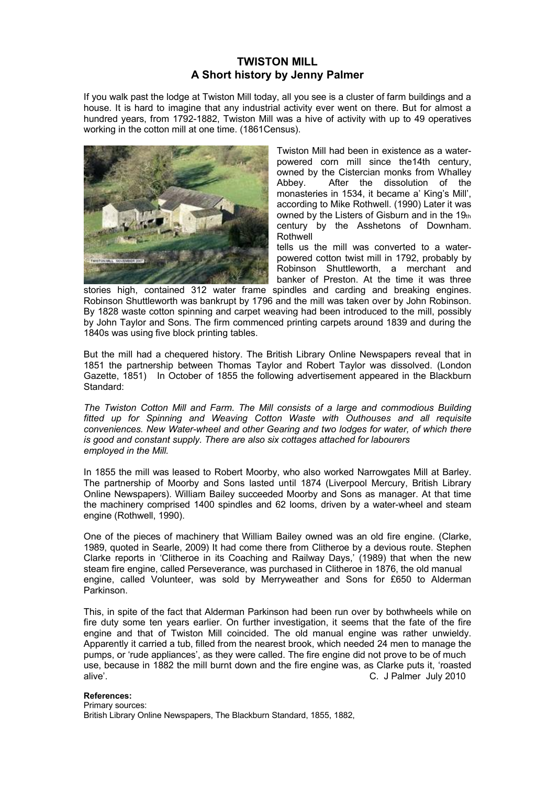## **TWISTON MILL A Short history by Jenny Palmer**

If you walk past the lodge at Twiston Mill today, all you see is a cluster of farm buildings and a house. It is hard to imagine that any industrial activity ever went on there. But for almost a hundred years, from 1792-1882, Twiston Mill was a hive of activity with up to 49 operatives working in the cotton mill at one time. (1861Census).



Twiston Mill had been in existence as a waterpowered corn mill since the14th century, owned by the Cistercian monks from Whalley Abbey. After the dissolution of the monasteries in 1534, it became a' King's Mill'. according to Mike Rothwell. (1990) Later it was owned by the Listers of Gisburn and in the 19th century by the Asshetons of Downham. **Rothwell** 

tells us the mill was converted to a waterpowered cotton twist mill in 1792, probably by Robinson Shuttleworth, a merchant and banker of Preston. At the time it was three

stories high, contained 312 water frame spindles and carding and breaking engines. Robinson Shuttleworth was bankrupt by 1796 and the mill was taken over by John Robinson. By 1828 waste cotton spinning and carpet weaving had been introduced to the mill, possibly by John Taylor and Sons. The firm commenced printing carpets around 1839 and during the 1840s was using five block printing tables.

But the mill had a chequered history. The British Library Online Newspapers reveal that in 1851 the partnership between Thomas Taylor and Robert Taylor was dissolved. (London Gazette, 1851) In October of 1855 the following advertisement appeared in the Blackburn Standard:

*The Twiston Cotton Mill and Farm. The Mill consists of a large and commodious Building fitted up for Spinning and Weaving Cotton Waste with Outhouses and all requisite conveniences. New Water-wheel and other Gearing and two lodges for water, of which there is good and constant supply. There are also six cottages attached for labourers employed in the Mill.*

In 1855 the mill was leased to Robert Moorby, who also worked Narrowgates Mill at Barley. The partnership of Moorby and Sons lasted until 1874 (Liverpool Mercury, British Library Online Newspapers). William Bailey succeeded Moorby and Sons as manager. At that time the machinery comprised 1400 spindles and 62 looms, driven by a water-wheel and steam engine (Rothwell, 1990).

One of the pieces of machinery that William Bailey owned was an old fire engine. (Clarke, 1989, quoted in Searle, 2009) It had come there from Clitheroe by a devious route. Stephen Clarke reports in 'Clitheroe in its Coaching and Railway Days,' (1989) that when the new steam fire engine, called Perseverance, was purchased in Clitheroe in 1876, the old manual engine, called Volunteer, was sold by Merryweather and Sons for Ç650 to Alderman Parkinson.

This, in spite of the fact that Alderman Parkinson had been run over by bothwheels while on fire duty some ten years earlier. On further investigation, it seems that the fate of the fire engine and that of Twiston Mill coincided. The old manual engine was rather unwieldy. Apparently it carried a tub, filled from the nearest brook, which needed 24 men to manage the pumps, or 'rude appliances', as they were called. The fire engine did not prove to be of much use, because in 1882 the mill burnt down and the fire engine was, as Clarke puts it, 'roasted alive'. C. J Palmer July 2010

## **References:**

Primary sources: British Library Online Newspapers, The Blackburn Standard, 1855, 1882,